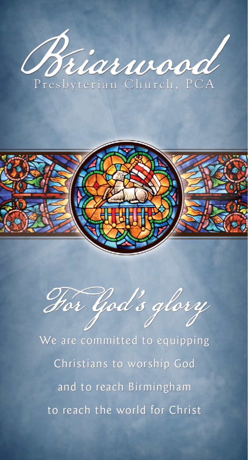



Hor God's glory

We are committed to equipping Christians to worship God and to reach Birmingham to reach the world for Christ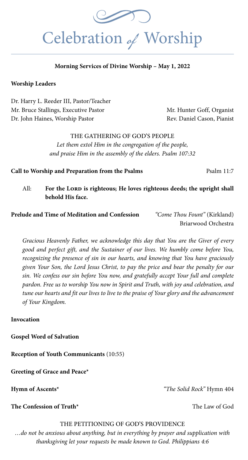

#### **Morning Services of Divine Worship – May 1, 2022**

#### **Worship Leaders**

Dr. Harry L. Reeder III, Pastor/Teacher Mr. Bruce Stallings, Executive Pastor Mr. Hunter Goff, Organist Dr. John Haines, Worship Pastor Rev. Daniel Cason, Pianist

THE GATHERING OF GOD'S PEOPLE *Let them extol Him in the congregation of the people, and praise Him in the assembly of the elders. Psalm 107:32*

**Call to Worship and Preparation from the Psalms** Psalm 11:7

All: For the LORD is righteous; He loves righteous deeds; the upright shall  **behold His face.**

**Prelude and Time of Meditation and Confession** *"Come Thou Fount"* (Kirkland)

Briarwood Orchestra

*Gracious Heavenly Father, we acknowledge this day that You are the Giver of every good and perfect gift, and the Sustainer of our lives. We humbly come before You, recognizing the presence of sin in our hearts, and knowing that You have graciously given Your Son, the Lord Jesus Christ, to pay the price and bear the penalty for our sin. We confess our sin before You now, and gratefully accept Your full and complete pardon. Free us to worship You now in Spirit and Truth, with joy and celebration, and tune our hearts and fit our lives to live to the praise of Your glory and the advancement of Your Kingdom.* 

**Invocation**

**Gospel Word of Salvation**

**Reception of Youth Communicants** (10:55)

**Greeting of Grace and Peace\*** 

**Hymn of Ascents\*** *"The Solid Rock"* Hymn 404

**The Confession of Truth<sup>\*</sup>** The Law of God

#### THE PETITIONING OF GOD'S PROVIDENCE

*…do not be anxious about anything, but in everything by prayer and supplication with thanksgiving let your requests be made known to God. Philippians 4:6*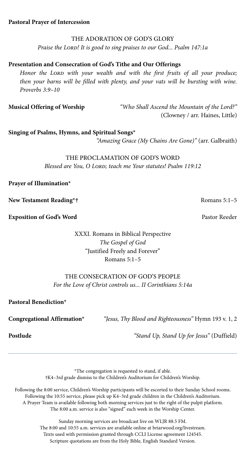#### THE ADORATION OF GOD'S GLORY

THE ADORATION OF GOD'S GLORY<br>Praise the LOPPL It is good to sing praises to our God Psalm 147:14 *Praise the Lord! It is good to sing praises to our God... Psalm 147:1a*

#### **Presentation and Consecration of God's Tithe and Our Offerings**

Honor the LORD with your wealth and with the first fruits of all your produce; *then your barns will be filled with plenty, and your vats will be bursting with wine. Proverbs 3:9–10*

**Musical Offering of Worship** *"Who Shall Ascend the Mountain of the Lord?"*  (Clowney / arr. Haines, Little)

**Singing of Psalms, Hymns, and Spiritual Songs\***

*"Amazing Grace (My Chains Are Gone)"* (arr. Galbraith)

#### THE PROCLAMATION OF GOD'S WORD *Blessed are You, O Lord; teach me Your statutes! Psalm 119:12*

#### **Prayer of Illumination\***

**New Testament Reading\*†** Romans 5:1–5

**Exposition of God's Word** Pastor Reeder

XXXI. Romans in Biblical Perspective *The Gospel of God* "Justified Freely and Forever" Romans 5:1–5

#### THE CONSECRATION OF GOD'S PEOPLE *For the Love of Christ controls us... II Corinthians 5:14a*

**Pastoral Benediction\***

**Congregational Affirmation\*** *"Jesus, Thy Blood and Righteousness"* Hymn 193 v. 1, 2

**Postlude** *"Stand Up, Stand Up for Jesus"* (Duffield)

\*The congregation is requested to stand, if able. †K4–3rd grade dismiss to the Children's Auditorium for Children's Worship.

Following the 8:00 service, Children's Worship participants will be escorted to their Sunday School rooms. Following the 10:55 service, please pick up K4–3rd grade children in the Children's Auditorium. A Prayer Team is available following both morning services just to the right of the pulpit platform. The 8:00 a.m. service is also "signed" each week in the Worship Center.

> Sunday morning services are broadcast live on WLJR 88.5 FM. The 8:00 and 10:55 a.m. services are available online at briarwood.org/livestream. Texts used with permission granted through CCLI License agreement 124545. Scripture quotations are from the Holy Bible, English Standard Version.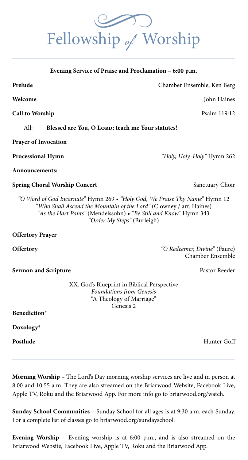**Prelude** Chamber Ensemble, Ken Berg

**Welcome** John Haines

**Call to Worship** Psalm 119:12

All: **Blessed are You, O LORD; teach me Your statutes!** 

**Prayer of Invocation** 

**Processional Hymn** *"Holy, Holy, Holy"* Hymn 262

**Announcements:** 

**Spring Choral Worship Concert** Sanctuary Choir

*"O Word of God Incarnate"* Hymn 269 *• "Holy God, We Praise Thy Name"* Hymn 12 *"Who Shall Ascend the Mountain of the Lord"* (Clowney / arr. Haines) *"As the Hart Pants"* (Mendelssohn) • *"Be Still and Know"* Hymn 343 *"Order My Steps"* (Burleigh)

**Offertory Prayer**

**Sermon and Scripture Pastor Reeder Pastor Reeder Pastor Reeder Pastor Reeder Pastor Reeder Pastor Reeder Pastor Reeder Pastor Reeder Pastor Reeder Pastor Reeder Pastor Reeder Pastor Reeder Pasto** 

**Offertory** *"O Redeemer, Divine"* (Faure) Chamber Ensemble

XX. God's Blueprint in Biblical Perspective *Foundations from Genesis* "A Theology of Marriage" Genesis 2

**Benediction\*** 

**Doxology\*** 

**Postlude** Hunter Goff

**Morning Worship** – The Lord's Day morning worship services are live and in person at 8:00 and 10:55 a.m. They are also streamed on the Briarwood Website, Facebook Live, Apple TV, Roku and the Briarwood App. For more info go to briarwood.org/watch.

**Sunday School Communities** – Sunday School for all ages is at 9:30 a.m. each Sunday. For a complete list of classes go to briarwood.org/sundayschool.

**Evening Worship** – Evening worship is at 6:00 p.m., and is also streamed on the Briarwood Website, Facebook Live, Apple TV, Roku and the Briarwood App.



**Evening Service of Praise and Proclamation – 6:00 p.m.**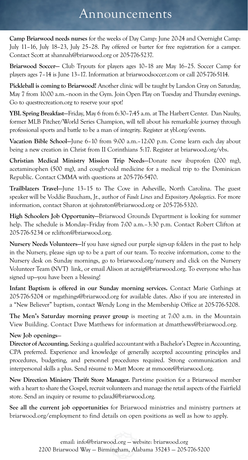### Announcements

**Camp Briarwood needs nurses** for the weeks of Day Camp: June 20-24 and Overnight Camp: July 11–16, July 18–23, July 25–28. Pay offered or barter for free registration for a camper. Contact Scott at shannah@briarwood.org or 205-776-5237.

**Briarwood Soccer—** Club Tryouts for players ages 10–18 are May 16–25. Soccer Camp for players ages 7–14 is June 13–17. Information at briarwoodsoccer.com or call 205-776-5114.

**Pickleball is coming to Briarwood!** Another clinic will be taught by Landon Gray on Saturday, May 7 from 10:00 a.m.–noon in the Gym. Join Open Play on Tuesday and Thursday evenings. Go to questrecreation.org to reserve your spot!

**YBL Spring Breakfast—**Friday, May 6 from 6:30–7:45 a.m. at The Harbert Center. Dan Naulty, former MLB Pitcher/World Series Champion, will tell about his remarkable journey through professional sports and battle to be a man of integrity. Register at ybl.org/events.

**Vacation Bible School—**June 6–10 from 9:00 a.m.–12:00 p.m. Come learn each day about being a new creation in Christ from II Corinthians 5:17. Register at briarwood.org/vbs.

**Christian Medical Ministry Mission Trip Needs—**Donate new ibuprofen (200 mg), acetaminophen (500 mg), and cough+cold medicine for a medical trip to the Dominican Republic. Contact CMMA with questions at 205-776-5470.

**Trailblazers Travel—**June 13–15 to The Cove in Asheville, North Carolina. The guest speaker will be Voddie Baucham, Jr., author of *Fault Lines* and *Expository Apologetics*. For more information, contact Sharon at sjohnston@briarwood.org or 205-776-5320.

**High Schoolers Job Opportunity—**Briarwood Grounds Department is looking for summer help. The schedule is Monday–Friday from 7:00 a.m.–3:30 p.m. Contact Robert Clifton at 205-776-5234 or rclifton@briarwood.org.

**Nursery Needs Volunteers—**If you have signed our purple sign-up folders in the past to help in the Nursery, please sign up to be a part of our team. To receive information, come to the Nursery desk on Sunday mornings, go to briarwood.org/nursery and click on the Nursery Volunteer Team (NVT) link, or email Alison at acraig@briarwood.org. To everyone who has signed up—you have been a blessing!

**Infant Baptism is offered in our Sunday morning services.** Contact Marie Gathings at 205-776-5204 or mgathings@briarwood.org for available dates. Also if you are interested in a "New Believer" baptism, contact Wendy Long in the Membership Office at 205-776-5208.

**The Men's Saturday morning prayer group** is meeting at 7:00 a.m. in the Mountain View Building. Contact Dave Matthews for information at dmatthews@briarwood.org.

#### **New Job openings**—

**Director of Accounting.** Seeking a qualified accountant with a Bachelor's Degree in Accounting, CPA preferred. Experience and knowledge of generally accepted accounting principles and procedures, budgeting, and personnel procedures required. Strong communication and interpersonal skills a plus. Send résumé to Matt Moore at mmoore@briarwood.org.

**New Direction Ministry Thrift Store Manager.** Part-time position for a Briarwood member with a heart to share the Gospel, recruit volunteers and manage the retail aspects of the Fairfield store. Send an inquiry or resume to pclaud@briarwood.org.

**See all the current job opportunities** for Briarwood ministries and ministry partners at briarwood.org/employment to find details on open positions as well as how to apply.